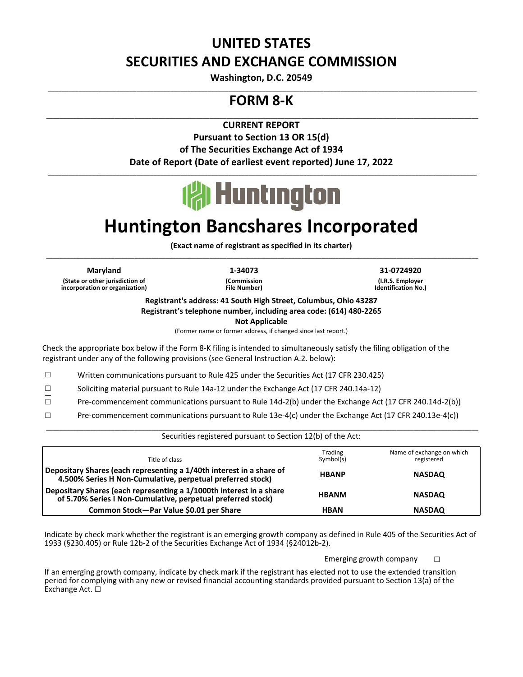## **UNITED STATES SECURITIES AND EXCHANGE COMMISSION**

**Washington, D.C. 20549** \_\_\_\_\_\_\_\_\_\_\_\_\_\_\_\_\_\_\_\_\_\_\_\_\_\_\_\_\_\_\_\_\_\_\_\_\_\_\_\_\_\_\_\_\_\_\_\_\_\_\_\_\_\_\_\_\_\_\_\_\_\_\_\_\_\_\_\_\_\_\_\_\_\_\_\_\_\_\_\_\_\_\_\_\_\_\_\_\_\_\_\_\_\_\_\_\_\_\_\_\_\_\_\_\_\_\_\_\_\_\_\_\_\_\_\_\_\_\_\_\_\_\_\_\_\_

### **FORM 8-K**

 \_\_\_\_\_\_\_\_\_\_\_\_\_\_\_\_\_\_\_\_\_\_\_\_\_\_\_\_\_\_\_\_\_\_\_\_\_\_\_\_\_\_\_\_\_\_\_\_\_\_\_\_\_\_\_\_\_\_\_\_\_\_\_\_\_\_\_\_\_\_\_\_\_\_\_\_\_\_\_\_\_\_\_\_\_\_\_\_\_\_\_\_\_\_\_\_\_\_\_\_\_\_\_\_\_\_\_\_\_\_\_\_\_\_\_\_\_\_\_\_\_\_\_\_\_\_\_ **CURRENT REPORT**

> **Pursuant to Section 13 OR 15(d)** of The Securities Exchange Act of 1934 Date of Report (Date of earliest event reported) June 17, 2022



 \_\_\_\_\_\_\_\_\_\_\_\_\_\_\_\_\_\_\_\_\_\_\_\_\_\_\_\_\_\_\_\_\_\_\_\_\_\_\_\_\_\_\_\_\_\_\_\_\_\_\_\_\_\_\_\_\_\_\_\_\_\_\_\_\_\_\_\_\_\_\_\_\_\_\_\_\_\_\_\_\_\_\_\_\_\_\_\_\_\_\_\_\_\_\_\_\_\_\_\_\_\_\_\_\_\_\_\_\_\_\_\_\_\_\_\_\_\_\_\_\_\_\_\_\_\_

# **Huntington Bancshares Incorporated**

(Exact name of registrant as specified in its charter) \_\_\_\_\_\_\_\_\_\_\_\_\_\_\_\_\_\_\_\_\_\_\_\_\_\_\_\_\_\_\_\_\_\_\_\_\_\_\_\_\_\_\_\_\_\_\_\_\_\_\_\_\_\_\_\_\_\_\_\_\_\_\_\_\_\_\_\_\_\_\_\_\_\_\_\_\_\_\_\_\_\_\_\_\_\_\_\_\_\_\_\_\_\_\_\_\_\_\_\_\_\_\_\_\_\_\_\_\_\_\_\_\_\_\_\_\_\_\_\_\_\_\_\_\_\_\_

**Maryland 1-34073 31-0724920 (State or other jurisdiction of incorporation or organization)**

**(Commission File Number)**

**(I.R.S. Employer Identification No.)** 

**Registrant's address: 41 South High Street, Columbus, Ohio 43287** Registrant's telephone number, including area code: (614) 480-2265

**Not Applicable**

(Former name or former address, if changed since last report.)

Check the appropriate box below if the Form 8-K filing is intended to simultaneously satisfy the filing obligation of the registrant under any of the following provisions (see General Instruction A.2. below):

 $\Box$  Written communications pursuant to Rule 425 under the Securities Act (17 CFR 230.425)

 $\Box$  Soliciting material pursuant to Rule 14a-12 under the Exchange Act (17 CFR 240.14a-12)

□ Pre-commencement communications pursuant to Rule 14d-2(b) under the Exchange Act (17 CFR 240.14d-2(b))

 $\square$  Pre-commencement communications pursuant to Rule 13e-4(c) under the Exchange Act (17 CFR 240.13e-4(c))

#### \_\_\_\_\_\_\_\_\_\_\_\_\_\_\_\_\_\_\_\_\_\_\_\_\_\_\_\_\_\_\_\_\_\_\_\_\_\_\_\_\_\_\_\_\_\_\_\_\_\_\_\_\_\_\_\_\_\_\_\_\_\_\_\_\_\_\_\_\_\_\_\_\_\_\_\_\_\_\_\_\_\_\_\_\_\_\_\_\_\_\_\_\_\_\_\_\_\_\_\_\_\_\_\_\_\_\_\_\_\_\_\_\_\_\_\_\_\_\_\_\_\_\_\_\_\_\_ Securities registered pursuant to Section 12(b) of the Act:

| Title of class                                                                                                                      | Trading<br>Symbol(s) | Name of exchange on which<br>registered |
|-------------------------------------------------------------------------------------------------------------------------------------|----------------------|-----------------------------------------|
| Depositary Shares (each representing a 1/40th interest in a share of<br>4.500% Series H Non-Cumulative, perpetual preferred stock)  | <b>HBANP</b>         | <b>NASDAQ</b>                           |
| Depositary Shares (each representing a 1/1000th interest in a share<br>of 5.70% Series I Non-Cumulative, perpetual preferred stock) | <b>HBANM</b>         | <b>NASDAQ</b>                           |
| Common Stock-Par Value \$0.01 per Share                                                                                             | <b>HBAN</b>          | <b>NASDAQ</b>                           |

Indicate by check mark whether the registrant is an emerging growth company as defined in Rule 405 of the Securities Act of 1933 (§230.405) or Rule 12b-2 of the Securities Exchange Act of 1934 (§24012b-2).

Emerging growth company

If an emerging growth company, indicate by check mark if the registrant has elected not to use the extended transition period for complying with any new or revised financial accounting standards provided pursuant to Section 13(a) of the Exchange Act.  $□$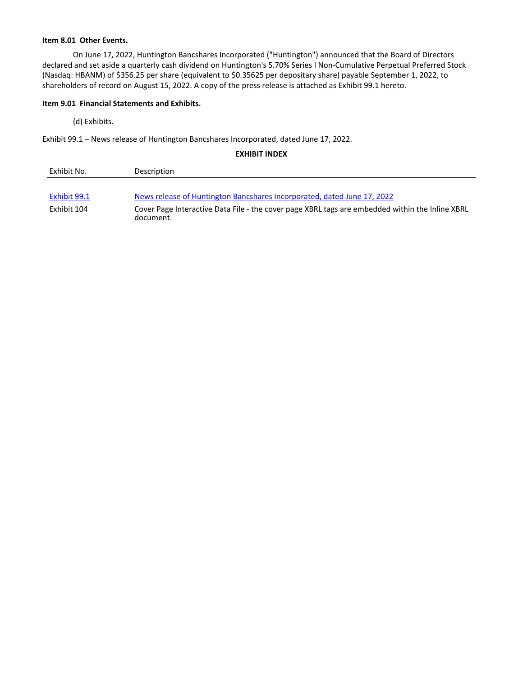#### **Item 8.01 Other Events.**

On June 17, 2022, Huntington Bancshares Incorporated ("Huntington") announced that the Board of Directors declared and set aside a quarterly cash dividend on Huntington's 5.70% Series I Non-Cumulative Perpetual Preferred Stock (Nasdaq: HBANM) of \$356.25 per share (equivalent to \$0.35625 per depositary share) payable September 1, 2022, to shareholders of record on August 15, 2022. A copy of the press release is attached as Exhibit 99.1 hereto.

#### **Item 9.01 Financial Statements and Exhibits.**

(d) Exhibits.

Exhibit 99.1 - News release of Huntington Bancshares Incorporated, dated June 17, 2022.

**EXHIBIT INDEX** 

| Exhibit No.  | Description                                                                                                  |
|--------------|--------------------------------------------------------------------------------------------------------------|
| Exhibit 99.1 | News release of Huntington Bancshares Incorporated, dated June 17, 2022                                      |
| Exhibit 104  | Cover Page Interactive Data File - the cover page XBRL tags are embedded within the Inline XBRL<br>document. |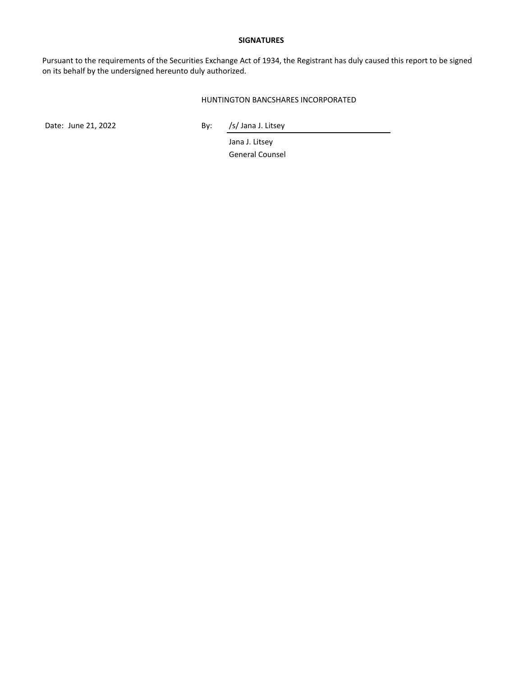#### **SIGNATURES**

Pursuant to the requirements of the Securities Exchange Act of 1934, the Registrant has duly caused this report to be signed on its behalf by the undersigned hereunto duly authorized.

#### HUNTINGTON BANCSHARES INCORPORATED

Date: June 21, 2022 By: /s/ Jana J. Litsey

Jana J. Litsey General Counsel